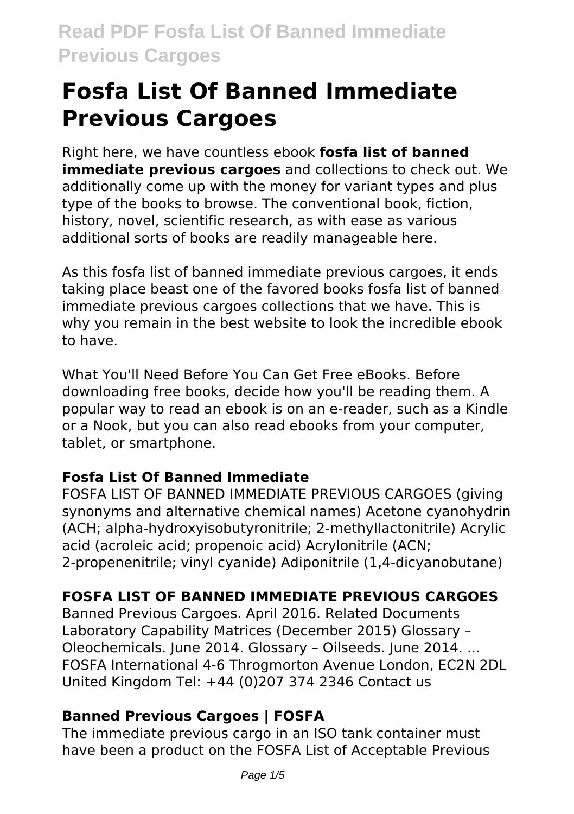Right here, we have countless ebook **fosfa list of banned immediate previous cargoes** and collections to check out. We additionally come up with the money for variant types and plus type of the books to browse. The conventional book, fiction, history, novel, scientific research, as with ease as various additional sorts of books are readily manageable here.

As this fosfa list of banned immediate previous cargoes, it ends taking place beast one of the favored books fosfa list of banned immediate previous cargoes collections that we have. This is why you remain in the best website to look the incredible ebook to have.

What You'll Need Before You Can Get Free eBooks. Before downloading free books, decide how you'll be reading them. A popular way to read an ebook is on an e-reader, such as a Kindle or a Nook, but you can also read ebooks from your computer, tablet, or smartphone.

## **Fosfa List Of Banned Immediate**

FOSFA LIST OF BANNED IMMEDIATE PREVIOUS CARGOES (giving synonyms and alternative chemical names) Acetone cyanohydrin (ACH; alpha-hydroxyisobutyronitrile; 2-methyllactonitrile) Acrylic acid (acroleic acid; propenoic acid) Acrylonitrile (ACN; 2-propenenitrile; vinyl cyanide) Adiponitrile (1,4-dicyanobutane)

# **FOSFA LIST OF BANNED IMMEDIATE PREVIOUS CARGOES**

Banned Previous Cargoes. April 2016. Related Documents Laboratory Capability Matrices (December 2015) Glossary – Oleochemicals. June 2014. Glossary – Oilseeds. June 2014. ... FOSFA International 4-6 Throgmorton Avenue London, EC2N 2DL United Kingdom Tel: +44 (0)207 374 2346 Contact us

## **Banned Previous Cargoes | FOSFA**

The immediate previous cargo in an ISO tank container must have been a product on the FOSFA List of Acceptable Previous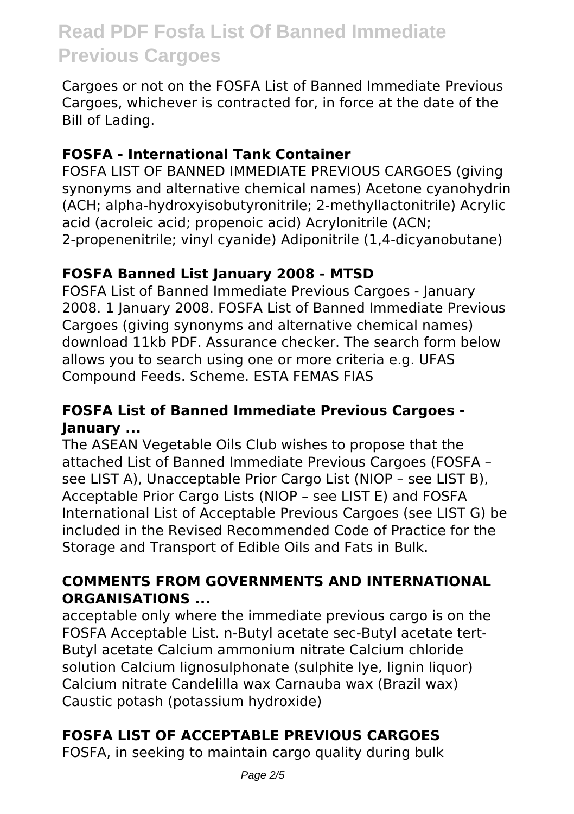Cargoes or not on the FOSFA List of Banned Immediate Previous Cargoes, whichever is contracted for, in force at the date of the Bill of Lading.

#### **FOSFA - International Tank Container**

FOSFA LIST OF BANNED IMMEDIATE PREVIOUS CARGOES (giving synonyms and alternative chemical names) Acetone cyanohydrin (ACH; alpha-hydroxyisobutyronitrile; 2-methyllactonitrile) Acrylic acid (acroleic acid; propenoic acid) Acrylonitrile (ACN; 2-propenenitrile; vinyl cyanide) Adiponitrile (1,4-dicyanobutane)

### **FOSFA Banned List January 2008 - MTSD**

FOSFA List of Banned Immediate Previous Cargoes - January 2008. 1 January 2008. FOSFA List of Banned Immediate Previous Cargoes (giving synonyms and alternative chemical names) download 11kb PDF. Assurance checker. The search form below allows you to search using one or more criteria e.g. UFAS Compound Feeds. Scheme. ESTA FEMAS FIAS

#### **FOSFA List of Banned Immediate Previous Cargoes - January ...**

The ASEAN Vegetable Oils Club wishes to propose that the attached List of Banned Immediate Previous Cargoes (FOSFA – see LIST A), Unacceptable Prior Cargo List (NIOP – see LIST B), Acceptable Prior Cargo Lists (NIOP – see LIST E) and FOSFA International List of Acceptable Previous Cargoes (see LIST G) be included in the Revised Recommended Code of Practice for the Storage and Transport of Edible Oils and Fats in Bulk.

#### **COMMENTS FROM GOVERNMENTS AND INTERNATIONAL ORGANISATIONS ...**

acceptable only where the immediate previous cargo is on the FOSFA Acceptable List. n-Butyl acetate sec-Butyl acetate tert-Butyl acetate Calcium ammonium nitrate Calcium chloride solution Calcium lignosulphonate (sulphite Ive, lignin liquor) Calcium nitrate Candelilla wax Carnauba wax (Brazil wax) Caustic potash (potassium hydroxide)

# **FOSFA LIST OF ACCEPTABLE PREVIOUS CARGOES**

FOSFA, in seeking to maintain cargo quality during bulk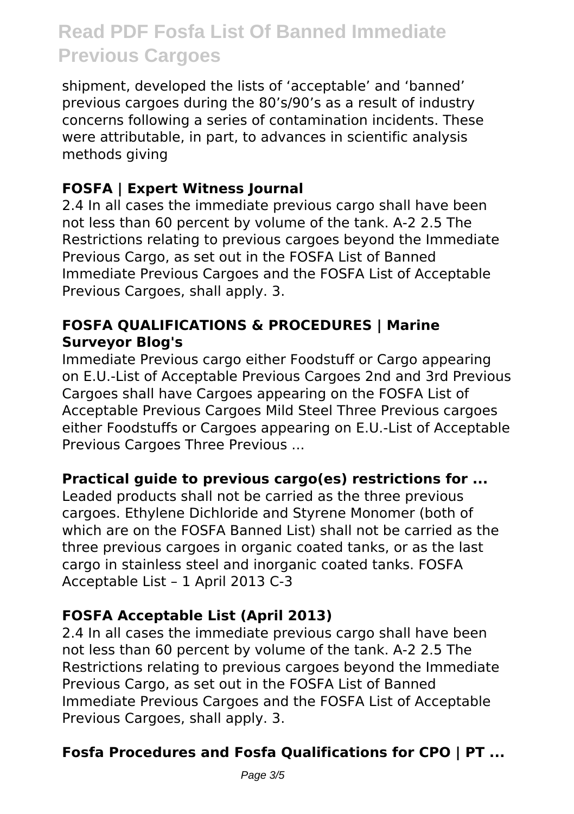shipment, developed the lists of 'acceptable' and 'banned' previous cargoes during the 80's/90's as a result of industry concerns following a series of contamination incidents. These were attributable, in part, to advances in scientific analysis methods giving

#### **FOSFA | Expert Witness Journal**

2.4 In all cases the immediate previous cargo shall have been not less than 60 percent by volume of the tank. A-2 2.5 The Restrictions relating to previous cargoes beyond the Immediate Previous Cargo, as set out in the FOSFA List of Banned Immediate Previous Cargoes and the FOSFA List of Acceptable Previous Cargoes, shall apply. 3.

#### **FOSFA QUALIFICATIONS & PROCEDURES | Marine Surveyor Blog's**

Immediate Previous cargo either Foodstuff or Cargo appearing on E.U.-List of Acceptable Previous Cargoes 2nd and 3rd Previous Cargoes shall have Cargoes appearing on the FOSFA List of Acceptable Previous Cargoes Mild Steel Three Previous cargoes either Foodstuffs or Cargoes appearing on E.U.-List of Acceptable Previous Cargoes Three Previous ...

#### **Practical guide to previous cargo(es) restrictions for ...**

Leaded products shall not be carried as the three previous cargoes. Ethylene Dichloride and Styrene Monomer (both of which are on the FOSFA Banned List) shall not be carried as the three previous cargoes in organic coated tanks, or as the last cargo in stainless steel and inorganic coated tanks. FOSFA Acceptable List – 1 April 2013 C-3

## **FOSFA Acceptable List (April 2013)**

2.4 In all cases the immediate previous cargo shall have been not less than 60 percent by volume of the tank. A-2 2.5 The Restrictions relating to previous cargoes beyond the Immediate Previous Cargo, as set out in the FOSFA List of Banned Immediate Previous Cargoes and the FOSFA List of Acceptable Previous Cargoes, shall apply. 3.

## **Fosfa Procedures and Fosfa Qualifications for CPO | PT ...**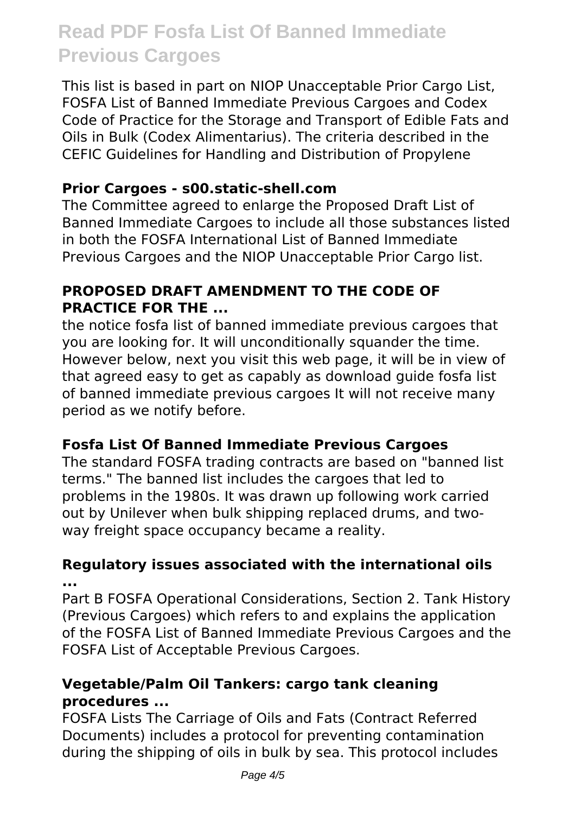This list is based in part on NIOP Unacceptable Prior Cargo List, FOSFA List of Banned Immediate Previous Cargoes and Codex Code of Practice for the Storage and Transport of Edible Fats and Oils in Bulk (Codex Alimentarius). The criteria described in the CEFIC Guidelines for Handling and Distribution of Propylene

#### **Prior Cargoes - s00.static-shell.com**

The Committee agreed to enlarge the Proposed Draft List of Banned Immediate Cargoes to include all those substances listed in both the FOSFA International List of Banned Immediate Previous Cargoes and the NIOP Unacceptable Prior Cargo list.

#### **PROPOSED DRAFT AMENDMENT TO THE CODE OF PRACTICE FOR THE ...**

the notice fosfa list of banned immediate previous cargoes that you are looking for. It will unconditionally squander the time. However below, next you visit this web page, it will be in view of that agreed easy to get as capably as download guide fosfa list of banned immediate previous cargoes It will not receive many period as we notify before.

#### **Fosfa List Of Banned Immediate Previous Cargoes**

The standard FOSFA trading contracts are based on "banned list terms." The banned list includes the cargoes that led to problems in the 1980s. It was drawn up following work carried out by Unilever when bulk shipping replaced drums, and twoway freight space occupancy became a reality.

#### **Regulatory issues associated with the international oils ...**

Part B FOSFA Operational Considerations, Section 2. Tank History (Previous Cargoes) which refers to and explains the application of the FOSFA List of Banned Immediate Previous Cargoes and the FOSFA List of Acceptable Previous Cargoes.

#### **Vegetable/Palm Oil Tankers: cargo tank cleaning procedures ...**

FOSFA Lists The Carriage of Oils and Fats (Contract Referred Documents) includes a protocol for preventing contamination during the shipping of oils in bulk by sea. This protocol includes